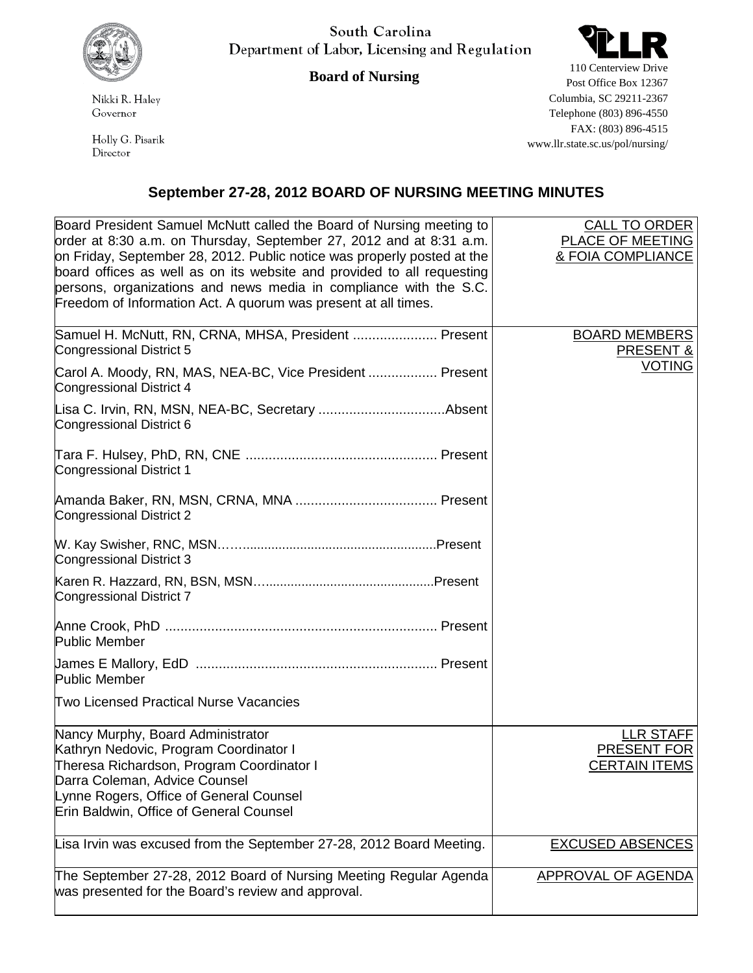

South Carolina Department of Labor, Licensing and Regulation

## **Board of Nursing**

Nikki R. Haley Governor

Holly G. Pisarik Director



110 Centerview Drive Post Office Box 12367 Columbia, SC 29211-2367 Telephone (803) 896-4550 FAX: (803) 896-4515 www.llr.state.sc.us/pol/nursing/

## **September 27-28, 2012 BOARD OF NURSING MEETING MINUTES**

| Board President Samuel McNutt called the Board of Nursing meeting to<br>order at 8:30 a.m. on Thursday, September 27, 2012 and at 8:31 a.m.<br>on Friday, September 28, 2012. Public notice was properly posted at the<br>board offices as well as on its website and provided to all requesting<br>persons, organizations and news media in compliance with the S.C.<br>Freedom of Information Act. A quorum was present at all times. | <b>CALL TO ORDER</b><br>PLACE OF MEETING<br><b>&amp; FOIA COMPLIANCE</b> |
|-----------------------------------------------------------------------------------------------------------------------------------------------------------------------------------------------------------------------------------------------------------------------------------------------------------------------------------------------------------------------------------------------------------------------------------------|--------------------------------------------------------------------------|
| Samuel H. McNutt, RN, CRNA, MHSA, President  Present<br>Congressional District 5                                                                                                                                                                                                                                                                                                                                                        | <b>BOARD MEMBERS</b><br><b>PRESENT &amp;</b>                             |
| Carol A. Moody, RN, MAS, NEA-BC, Vice President  Present<br>Congressional District 4                                                                                                                                                                                                                                                                                                                                                    | <b>VOTING</b>                                                            |
| Congressional District 6                                                                                                                                                                                                                                                                                                                                                                                                                |                                                                          |
| <b>Congressional District 1</b>                                                                                                                                                                                                                                                                                                                                                                                                         |                                                                          |
| Congressional District 2                                                                                                                                                                                                                                                                                                                                                                                                                |                                                                          |
| <b>Congressional District 3</b>                                                                                                                                                                                                                                                                                                                                                                                                         |                                                                          |
| Congressional District 7                                                                                                                                                                                                                                                                                                                                                                                                                |                                                                          |
| <b>Public Member</b>                                                                                                                                                                                                                                                                                                                                                                                                                    |                                                                          |
| Public Member                                                                                                                                                                                                                                                                                                                                                                                                                           |                                                                          |
| <b>Two Licensed Practical Nurse Vacancies</b>                                                                                                                                                                                                                                                                                                                                                                                           |                                                                          |
| Nancy Murphy, Board Administrator<br>Kathryn Nedovic, Program Coordinator I<br>Theresa Richardson, Program Coordinator I<br>Darra Coleman, Advice Counsel<br>Lynne Rogers, Office of General Counsel<br><b>Erin Baldwin, Office of General Counsel</b>                                                                                                                                                                                  | <b>LLR STAFF</b><br>PRESENT FOR<br><b>CERTAIN ITEMS</b>                  |
| Lisa Irvin was excused from the September 27-28, 2012 Board Meeting.                                                                                                                                                                                                                                                                                                                                                                    | <b>EXCUSED ABSENCES</b>                                                  |
| The September 27-28, 2012 Board of Nursing Meeting Regular Agenda<br>was presented for the Board's review and approval.                                                                                                                                                                                                                                                                                                                 | <b>APPROVAL OF AGENDA</b>                                                |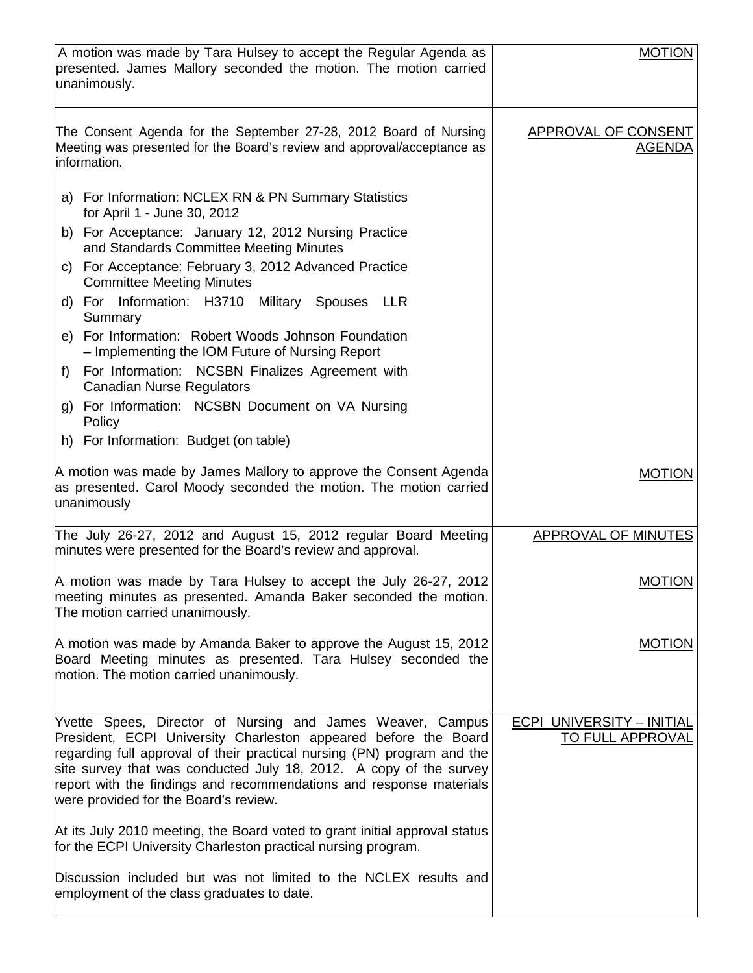| A motion was made by Tara Hulsey to accept the Regular Agenda as<br>presented. James Mallory seconded the motion. The motion carried<br>unanimously.                                                                                                                                                                                                                                           | <b>MOTION</b>                                        |
|------------------------------------------------------------------------------------------------------------------------------------------------------------------------------------------------------------------------------------------------------------------------------------------------------------------------------------------------------------------------------------------------|------------------------------------------------------|
| The Consent Agenda for the September 27-28, 2012 Board of Nursing<br>Meeting was presented for the Board's review and approval/acceptance as<br>information.                                                                                                                                                                                                                                   | <b>APPROVAL OF CONSENT</b><br><u>AGENDA</u>          |
| a) For Information: NCLEX RN & PN Summary Statistics<br>for April 1 - June 30, 2012                                                                                                                                                                                                                                                                                                            |                                                      |
| b) For Acceptance: January 12, 2012 Nursing Practice<br>and Standards Committee Meeting Minutes                                                                                                                                                                                                                                                                                                |                                                      |
| c) For Acceptance: February 3, 2012 Advanced Practice<br><b>Committee Meeting Minutes</b>                                                                                                                                                                                                                                                                                                      |                                                      |
| d) For Information: H3710 Military Spouses LLR<br>Summary                                                                                                                                                                                                                                                                                                                                      |                                                      |
| e) For Information: Robert Woods Johnson Foundation<br>- Implementing the IOM Future of Nursing Report                                                                                                                                                                                                                                                                                         |                                                      |
| For Information: NCSBN Finalizes Agreement with<br>$f$ )<br><b>Canadian Nurse Regulators</b>                                                                                                                                                                                                                                                                                                   |                                                      |
| For Information: NCSBN Document on VA Nursing<br>g)<br>Policy                                                                                                                                                                                                                                                                                                                                  |                                                      |
| h) For Information: Budget (on table)                                                                                                                                                                                                                                                                                                                                                          |                                                      |
| A motion was made by James Mallory to approve the Consent Agenda<br>as presented. Carol Moody seconded the motion. The motion carried<br>unanimously                                                                                                                                                                                                                                           | <b>MOTION</b>                                        |
| The July 26-27, 2012 and August 15, 2012 regular Board Meeting<br>minutes were presented for the Board's review and approval.                                                                                                                                                                                                                                                                  | <b>APPROVAL OF MINUTES</b>                           |
| A motion was made by Tara Hulsey to accept the July 26-27, 2012<br>meeting minutes as presented. Amanda Baker seconded the motion.<br>The motion carried unanimously.                                                                                                                                                                                                                          | <b>MOTION</b>                                        |
| A motion was made by Amanda Baker to approve the August 15, 2012<br>Board Meeting minutes as presented. Tara Hulsey seconded the<br>motion. The motion carried unanimously.                                                                                                                                                                                                                    | <b>MOTION</b>                                        |
| Yvette Spees, Director of Nursing and James Weaver, Campus<br>President, ECPI University Charleston appeared before the Board<br>regarding full approval of their practical nursing (PN) program and the<br>site survey that was conducted July 18, 2012. A copy of the survey<br>report with the findings and recommendations and response materials<br>were provided for the Board's review. | <b>ECPI UNIVERSITY - INITIAL</b><br>TO FULL APPROVAL |
| At its July 2010 meeting, the Board voted to grant initial approval status<br>for the ECPI University Charleston practical nursing program.                                                                                                                                                                                                                                                    |                                                      |
| Discussion included but was not limited to the NCLEX results and<br>employment of the class graduates to date.                                                                                                                                                                                                                                                                                 |                                                      |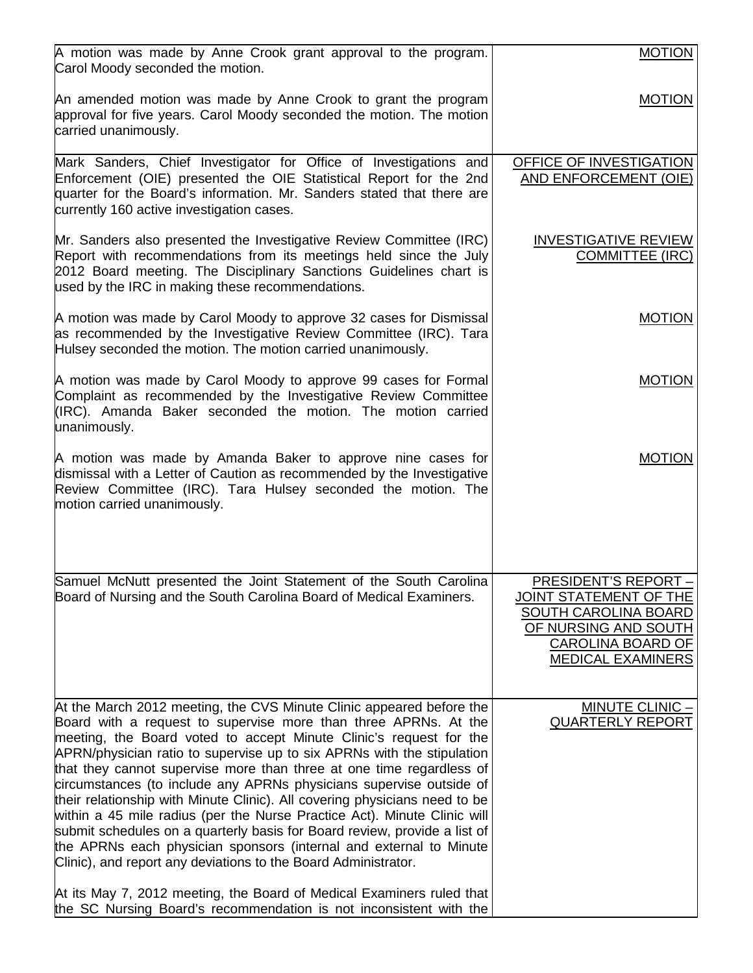| A motion was made by Anne Crook grant approval to the program.<br>Carol Moody seconded the motion.                                                                                                                                                                                                                                                                                                                                                                                                                                                                                                                                                                                                                                                                                                                                                                                                                                                                   | <b>MOTION</b>                                                                                                                                                                |
|----------------------------------------------------------------------------------------------------------------------------------------------------------------------------------------------------------------------------------------------------------------------------------------------------------------------------------------------------------------------------------------------------------------------------------------------------------------------------------------------------------------------------------------------------------------------------------------------------------------------------------------------------------------------------------------------------------------------------------------------------------------------------------------------------------------------------------------------------------------------------------------------------------------------------------------------------------------------|------------------------------------------------------------------------------------------------------------------------------------------------------------------------------|
| An amended motion was made by Anne Crook to grant the program<br>approval for five years. Carol Moody seconded the motion. The motion<br>carried unanimously.                                                                                                                                                                                                                                                                                                                                                                                                                                                                                                                                                                                                                                                                                                                                                                                                        | <b>MOTION</b>                                                                                                                                                                |
| Mark Sanders, Chief Investigator for Office of Investigations and<br>Enforcement (OIE) presented the OIE Statistical Report for the 2nd<br>quarter for the Board's information. Mr. Sanders stated that there are<br>currently 160 active investigation cases.                                                                                                                                                                                                                                                                                                                                                                                                                                                                                                                                                                                                                                                                                                       | OFFICE OF INVESTIGATION<br><b>AND ENFORCEMENT (OIE)</b>                                                                                                                      |
| Mr. Sanders also presented the Investigative Review Committee (IRC)<br>Report with recommendations from its meetings held since the July<br>2012 Board meeting. The Disciplinary Sanctions Guidelines chart is<br>used by the IRC in making these recommendations.                                                                                                                                                                                                                                                                                                                                                                                                                                                                                                                                                                                                                                                                                                   | <b>INVESTIGATIVE REVIEW</b><br><b>COMMITTEE (IRC)</b>                                                                                                                        |
| A motion was made by Carol Moody to approve 32 cases for Dismissal<br>as recommended by the Investigative Review Committee (IRC). Tara<br>Hulsey seconded the motion. The motion carried unanimously.                                                                                                                                                                                                                                                                                                                                                                                                                                                                                                                                                                                                                                                                                                                                                                | <b>MOTION</b>                                                                                                                                                                |
| A motion was made by Carol Moody to approve 99 cases for Formal<br>Complaint as recommended by the Investigative Review Committee<br>(IRC). Amanda Baker seconded the motion. The motion carried<br>unanimously.                                                                                                                                                                                                                                                                                                                                                                                                                                                                                                                                                                                                                                                                                                                                                     | <b>MOTION</b>                                                                                                                                                                |
| A motion was made by Amanda Baker to approve nine cases for<br>dismissal with a Letter of Caution as recommended by the Investigative<br>Review Committee (IRC). Tara Hulsey seconded the motion. The<br>motion carried unanimously.                                                                                                                                                                                                                                                                                                                                                                                                                                                                                                                                                                                                                                                                                                                                 | <b>MOTION</b>                                                                                                                                                                |
| Samuel McNutt presented the Joint Statement of the South Carolina<br>Board of Nursing and the South Carolina Board of Medical Examiners.                                                                                                                                                                                                                                                                                                                                                                                                                                                                                                                                                                                                                                                                                                                                                                                                                             | <u> PRESIDENT'S REPORT -</u><br><u>JOINT STATEMENT OF THE</u><br><b>SOUTH CAROLINA BOARD</b><br>OF NURSING AND SOUTH<br><b>CAROLINA BOARD OF</b><br><b>MEDICAL EXAMINERS</b> |
| At the March 2012 meeting, the CVS Minute Clinic appeared before the<br>Board with a request to supervise more than three APRNs. At the<br>meeting, the Board voted to accept Minute Clinic's request for the<br>APRN/physician ratio to supervise up to six APRNs with the stipulation<br>that they cannot supervise more than three at one time regardless of<br>circumstances (to include any APRNs physicians supervise outside of<br>their relationship with Minute Clinic). All covering physicians need to be<br>within a 45 mile radius (per the Nurse Practice Act). Minute Clinic will<br>submit schedules on a quarterly basis for Board review, provide a list of<br>the APRNs each physician sponsors (internal and external to Minute<br>Clinic), and report any deviations to the Board Administrator.<br>At its May 7, 2012 meeting, the Board of Medical Examiners ruled that<br>the SC Nursing Board's recommendation is not inconsistent with the | $MINUTE CLINIC -$<br><b>QUARTERLY REPORT</b>                                                                                                                                 |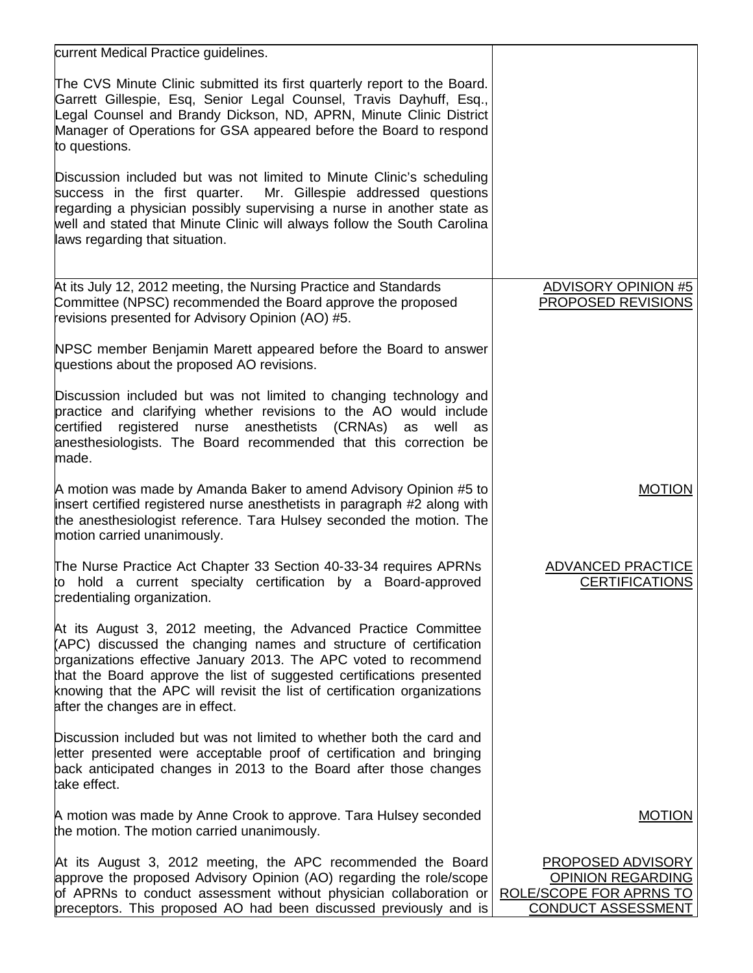| current Medical Practice guidelines.                                                                                                                                                                                                                                                                                                                                                              |                                                                                                |
|---------------------------------------------------------------------------------------------------------------------------------------------------------------------------------------------------------------------------------------------------------------------------------------------------------------------------------------------------------------------------------------------------|------------------------------------------------------------------------------------------------|
| The CVS Minute Clinic submitted its first quarterly report to the Board.<br>Garrett Gillespie, Esq, Senior Legal Counsel, Travis Dayhuff, Esq.,<br>Legal Counsel and Brandy Dickson, ND, APRN, Minute Clinic District<br>Manager of Operations for GSA appeared before the Board to respond<br>to questions.                                                                                      |                                                                                                |
| Discussion included but was not limited to Minute Clinic's scheduling<br>success in the first quarter. Mr. Gillespie addressed questions<br>regarding a physician possibly supervising a nurse in another state as<br>well and stated that Minute Clinic will always follow the South Carolina<br>laws regarding that situation.                                                                  |                                                                                                |
| At its July 12, 2012 meeting, the Nursing Practice and Standards<br>Committee (NPSC) recommended the Board approve the proposed<br>revisions presented for Advisory Opinion (AO) #5.                                                                                                                                                                                                              | <b>ADVISORY OPINION #5</b><br>PROPOSED REVISIONS                                               |
| NPSC member Benjamin Marett appeared before the Board to answer<br>questions about the proposed AO revisions.                                                                                                                                                                                                                                                                                     |                                                                                                |
| Discussion included but was not limited to changing technology and<br>practice and clarifying whether revisions to the AO would include<br>registered nurse anesthetists (CRNAs) as<br>certified<br>well<br>as<br>anesthesiologists. The Board recommended that this correction be<br>made.                                                                                                       |                                                                                                |
| A motion was made by Amanda Baker to amend Advisory Opinion #5 to<br>insert certified registered nurse anesthetists in paragraph #2 along with<br>the anesthesiologist reference. Tara Hulsey seconded the motion. The<br>motion carried unanimously.                                                                                                                                             | <b>MOTION</b>                                                                                  |
| The Nurse Practice Act Chapter 33 Section 40-33-34 requires APRNs<br>to hold a current specialty certification by a Board-approved<br>credentialing organization.                                                                                                                                                                                                                                 | <b>ADVANCED PRACTICE</b><br><b>CERTIFICATIONS</b>                                              |
| At its August 3, 2012 meeting, the Advanced Practice Committee<br>(APC) discussed the changing names and structure of certification<br>prganizations effective January 2013. The APC voted to recommend<br>that the Board approve the list of suggested certifications presented<br>knowing that the APC will revisit the list of certification organizations<br>after the changes are in effect. |                                                                                                |
| Discussion included but was not limited to whether both the card and<br>letter presented were acceptable proof of certification and bringing<br>back anticipated changes in 2013 to the Board after those changes<br>take effect.                                                                                                                                                                 |                                                                                                |
| A motion was made by Anne Crook to approve. Tara Hulsey seconded<br>the motion. The motion carried unanimously.                                                                                                                                                                                                                                                                                   | <b>MOTION</b>                                                                                  |
| At its August 3, 2012 meeting, the APC recommended the Board<br>approve the proposed Advisory Opinion (AO) regarding the role/scope<br>of APRNs to conduct assessment without physician collaboration or<br>preceptors. This proposed AO had been discussed previously and is                                                                                                                     | PROPOSED ADVISORY<br><b>OPINION REGARDING</b><br>ROLE/SCOPE FOR APRNS TO<br>CONDUCT ASSESSMENT |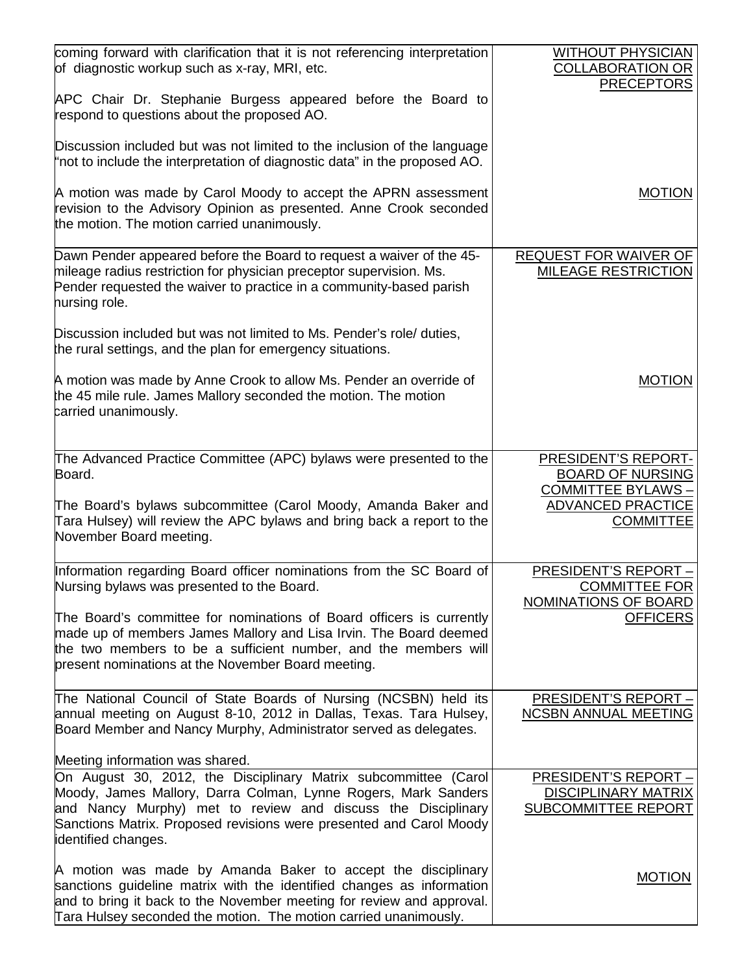| coming forward with clarification that it is not referencing interpretation<br>of diagnostic workup such as x-ray, MRI, etc.                                                                                                                                                                    | <b>WITHOUT PHYSICIAN</b><br><b>COLLABORATION OR</b><br><b>PRECEPTORS</b>    |
|-------------------------------------------------------------------------------------------------------------------------------------------------------------------------------------------------------------------------------------------------------------------------------------------------|-----------------------------------------------------------------------------|
| APC Chair Dr. Stephanie Burgess appeared before the Board to<br>respond to questions about the proposed AO.                                                                                                                                                                                     |                                                                             |
| Discussion included but was not limited to the inclusion of the language<br>"not to include the interpretation of diagnostic data" in the proposed AO.                                                                                                                                          |                                                                             |
| A motion was made by Carol Moody to accept the APRN assessment<br>revision to the Advisory Opinion as presented. Anne Crook seconded<br>the motion. The motion carried unanimously.                                                                                                             | <b>MOTION</b>                                                               |
| Dawn Pender appeared before the Board to request a waiver of the 45-<br>mileage radius restriction for physician preceptor supervision. Ms.<br>Pender requested the waiver to practice in a community-based parish<br>hursing role.                                                             | REQUEST FOR WAIVER OF<br>MILEAGE RESTRICTION                                |
| Discussion included but was not limited to Ms. Pender's role/ duties,<br>the rural settings, and the plan for emergency situations.                                                                                                                                                             |                                                                             |
| A motion was made by Anne Crook to allow Ms. Pender an override of<br>the 45 mile rule. James Mallory seconded the motion. The motion<br>carried unanimously.                                                                                                                                   | <b>MOTION</b>                                                               |
| The Advanced Practice Committee (APC) bylaws were presented to the<br>Board.                                                                                                                                                                                                                    | PRESIDENT'S REPORT-<br><b>BOARD OF NURSING</b><br><b>COMMITTEE BYLAWS -</b> |
| The Board's bylaws subcommittee (Carol Moody, Amanda Baker and<br>Tara Hulsey) will review the APC bylaws and bring back a report to the<br>November Board meeting.                                                                                                                             | <b>ADVANCED PRACTICE</b><br><b>COMMITTEE</b>                                |
| Information regarding Board officer nominations from the SC Board of<br>Nursing bylaws was presented to the Board.                                                                                                                                                                              | PRESIDENT'S REPORT-<br><b>COMMITTEE FOR</b>                                 |
| The Board's committee for nominations of Board officers is currently<br>made up of members James Mallory and Lisa Irvin. The Board deemed<br>the two members to be a sufficient number, and the members will<br>present nominations at the November Board meeting.                              | NOMINATIONS OF BOARD<br><b>OFFICERS</b>                                     |
| The National Council of State Boards of Nursing (NCSBN) held its<br>annual meeting on August 8-10, 2012 in Dallas, Texas. Tara Hulsey,<br>Board Member and Nancy Murphy, Administrator served as delegates.                                                                                     | <b>PRESIDENT'S REPORT -</b><br><b>NCSBN ANNUAL MEETING</b>                  |
| Meeting information was shared.                                                                                                                                                                                                                                                                 |                                                                             |
| On August 30, 2012, the Disciplinary Matrix subcommittee (Carol<br>Moody, James Mallory, Darra Colman, Lynne Rogers, Mark Sanders<br>and Nancy Murphy) met to review and discuss the Disciplinary<br>Sanctions Matrix. Proposed revisions were presented and Carol Moody<br>identified changes. | PRESIDENT'S REPORT-<br><b>DISCIPLINARY MATRIX</b><br>SUBCOMMITTEE REPORT    |
| A motion was made by Amanda Baker to accept the disciplinary<br>sanctions guideline matrix with the identified changes as information<br>and to bring it back to the November meeting for review and approval.<br>Tara Hulsey seconded the motion. The motion carried unanimously.              | <b>MOTION</b>                                                               |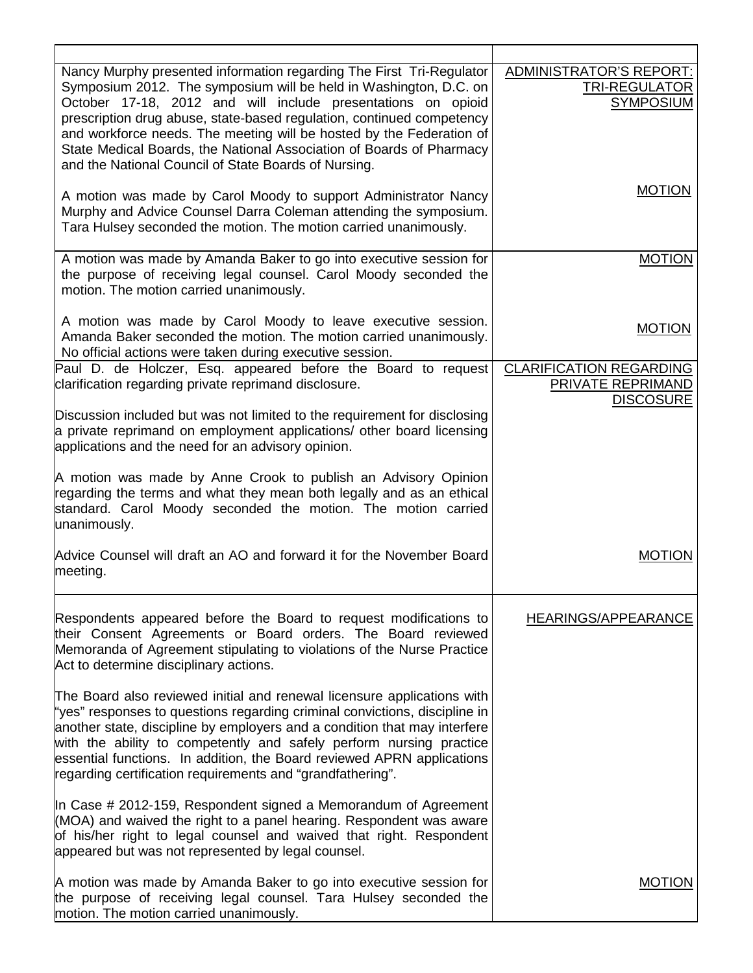| Nancy Murphy presented information regarding The First Tri-Regulator<br>Symposium 2012. The symposium will be held in Washington, D.C. on<br>October 17-18, 2012 and will include presentations on opioid<br>prescription drug abuse, state-based regulation, continued competency<br>and workforce needs. The meeting will be hosted by the Federation of<br>State Medical Boards, the National Association of Boards of Pharmacy<br>and the National Council of State Boards of Nursing. | ADMINISTRATOR'S REPORT:<br><b>TRI-REGULATOR</b><br><b>SYMPOSIUM</b>     |
|--------------------------------------------------------------------------------------------------------------------------------------------------------------------------------------------------------------------------------------------------------------------------------------------------------------------------------------------------------------------------------------------------------------------------------------------------------------------------------------------|-------------------------------------------------------------------------|
| A motion was made by Carol Moody to support Administrator Nancy<br>Murphy and Advice Counsel Darra Coleman attending the symposium.<br>Tara Hulsey seconded the motion. The motion carried unanimously.                                                                                                                                                                                                                                                                                    | <b>MOTION</b>                                                           |
| A motion was made by Amanda Baker to go into executive session for<br>the purpose of receiving legal counsel. Carol Moody seconded the<br>motion. The motion carried unanimously.                                                                                                                                                                                                                                                                                                          | <b>MOTION</b>                                                           |
| A motion was made by Carol Moody to leave executive session.<br>Amanda Baker seconded the motion. The motion carried unanimously.<br>No official actions were taken during executive session.                                                                                                                                                                                                                                                                                              | <b>MOTION</b>                                                           |
| Paul D. de Holczer, Esq. appeared before the Board to request<br>clarification regarding private reprimand disclosure.                                                                                                                                                                                                                                                                                                                                                                     | <b>CLARIFICATION REGARDING</b><br>PRIVATE REPRIMAND<br><b>DISCOSURE</b> |
| Discussion included but was not limited to the requirement for disclosing<br>a private reprimand on employment applications/ other board licensing<br>applications and the need for an advisory opinion.                                                                                                                                                                                                                                                                                   |                                                                         |
| A motion was made by Anne Crook to publish an Advisory Opinion<br>regarding the terms and what they mean both legally and as an ethical<br>standard. Carol Moody seconded the motion. The motion carried<br>unanimously.                                                                                                                                                                                                                                                                   |                                                                         |
| Advice Counsel will draft an AO and forward it for the November Board<br>meeting.                                                                                                                                                                                                                                                                                                                                                                                                          | MOTION                                                                  |
| Respondents appeared before the Board to request modifications to<br>their Consent Agreements or Board orders. The Board reviewed<br>Memoranda of Agreement stipulating to violations of the Nurse Practice<br>Act to determine disciplinary actions.                                                                                                                                                                                                                                      | <b>HEARINGS/APPEARANCE</b>                                              |
| The Board also reviewed initial and renewal licensure applications with<br>"yes" responses to questions regarding criminal convictions, discipline in<br>another state, discipline by employers and a condition that may interfere<br>with the ability to competently and safely perform nursing practice<br>essential functions. In addition, the Board reviewed APRN applications<br>regarding certification requirements and "grandfathering".                                          |                                                                         |
| In Case # 2012-159, Respondent signed a Memorandum of Agreement<br>(MOA) and waived the right to a panel hearing. Respondent was aware<br>of his/her right to legal counsel and waived that right. Respondent<br>appeared but was not represented by legal counsel.                                                                                                                                                                                                                        |                                                                         |
| A motion was made by Amanda Baker to go into executive session for<br>the purpose of receiving legal counsel. Tara Hulsey seconded the<br>motion. The motion carried unanimously.                                                                                                                                                                                                                                                                                                          | <b>MOTION</b>                                                           |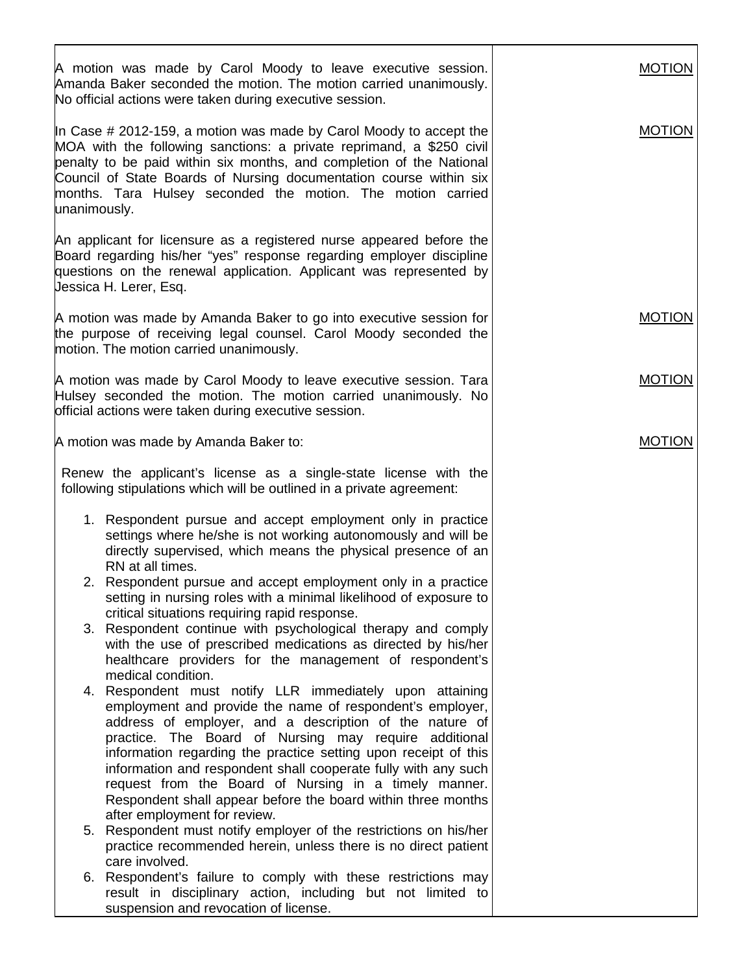| A motion was made by Carol Moody to leave executive session.<br>Amanda Baker seconded the motion. The motion carried unanimously.<br>No official actions were taken during executive session.                                                                                                                                                                                                                                                                                                                                                                                                                                      | <b>MOTION</b> |
|------------------------------------------------------------------------------------------------------------------------------------------------------------------------------------------------------------------------------------------------------------------------------------------------------------------------------------------------------------------------------------------------------------------------------------------------------------------------------------------------------------------------------------------------------------------------------------------------------------------------------------|---------------|
| In Case $\#$ 2012-159, a motion was made by Carol Moody to accept the<br>MOA with the following sanctions: a private reprimand, a \$250 civil<br>penalty to be paid within six months, and completion of the National<br>Council of State Boards of Nursing documentation course within six<br>months. Tara Hulsey seconded the motion. The motion carried<br>unanimously.                                                                                                                                                                                                                                                         | <b>MOTION</b> |
| An applicant for licensure as a registered nurse appeared before the<br>Board regarding his/her "yes" response regarding employer discipline<br>questions on the renewal application. Applicant was represented by<br>Jessica H. Lerer, Esq.                                                                                                                                                                                                                                                                                                                                                                                       |               |
| A motion was made by Amanda Baker to go into executive session for<br>the purpose of receiving legal counsel. Carol Moody seconded the<br>motion. The motion carried unanimously.                                                                                                                                                                                                                                                                                                                                                                                                                                                  | <b>MOTION</b> |
| A motion was made by Carol Moody to leave executive session. Tara<br>Hulsey seconded the motion. The motion carried unanimously. No<br>official actions were taken during executive session.                                                                                                                                                                                                                                                                                                                                                                                                                                       | <b>MOTION</b> |
| A motion was made by Amanda Baker to:                                                                                                                                                                                                                                                                                                                                                                                                                                                                                                                                                                                              | <b>MOTION</b> |
| Renew the applicant's license as a single-state license with the<br>following stipulations which will be outlined in a private agreement:                                                                                                                                                                                                                                                                                                                                                                                                                                                                                          |               |
| 1. Respondent pursue and accept employment only in practice<br>settings where he/she is not working autonomously and will be<br>directly supervised, which means the physical presence of an<br>RN at all times.                                                                                                                                                                                                                                                                                                                                                                                                                   |               |
| 2. Respondent pursue and accept employment only in a practice<br>setting in nursing roles with a minimal likelihood of exposure to<br>critical situations requiring rapid response.                                                                                                                                                                                                                                                                                                                                                                                                                                                |               |
| 3. Respondent continue with psychological therapy and comply<br>with the use of prescribed medications as directed by his/her<br>healthcare providers for the management of respondent's                                                                                                                                                                                                                                                                                                                                                                                                                                           |               |
| medical condition.<br>4. Respondent must notify LLR immediately upon attaining<br>employment and provide the name of respondent's employer,<br>address of employer, and a description of the nature of<br>practice. The Board of Nursing may require additional<br>information regarding the practice setting upon receipt of this<br>information and respondent shall cooperate fully with any such<br>request from the Board of Nursing in a timely manner.<br>Respondent shall appear before the board within three months<br>after employment for review.<br>5. Respondent must notify employer of the restrictions on his/her |               |
| practice recommended herein, unless there is no direct patient<br>care involved.                                                                                                                                                                                                                                                                                                                                                                                                                                                                                                                                                   |               |
| 6. Respondent's failure to comply with these restrictions may<br>result in disciplinary action, including but not limited to<br>suspension and revocation of license.                                                                                                                                                                                                                                                                                                                                                                                                                                                              |               |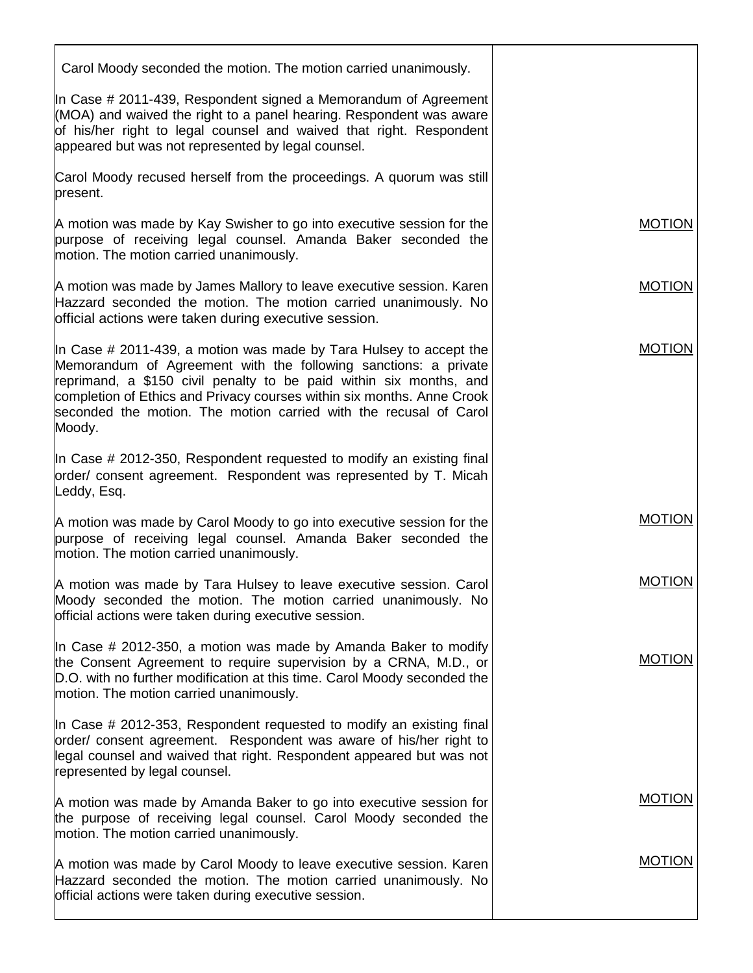| Carol Moody seconded the motion. The motion carried unanimously.                                                                                                                                                                                                                                                                                                        |               |
|-------------------------------------------------------------------------------------------------------------------------------------------------------------------------------------------------------------------------------------------------------------------------------------------------------------------------------------------------------------------------|---------------|
| In Case # 2011-439, Respondent signed a Memorandum of Agreement<br>(MOA) and waived the right to a panel hearing. Respondent was aware<br>of his/her right to legal counsel and waived that right. Respondent<br>appeared but was not represented by legal counsel.                                                                                                     |               |
| Carol Moody recused herself from the proceedings. A quorum was still<br>present.                                                                                                                                                                                                                                                                                        |               |
| A motion was made by Kay Swisher to go into executive session for the<br>purpose of receiving legal counsel. Amanda Baker seconded the<br>motion. The motion carried unanimously.                                                                                                                                                                                       | <b>MOTION</b> |
| A motion was made by James Mallory to leave executive session. Karen<br>Hazzard seconded the motion. The motion carried unanimously. No<br>official actions were taken during executive session.                                                                                                                                                                        | <b>MOTION</b> |
| In Case $\#$ 2011-439, a motion was made by Tara Hulsey to accept the<br>Memorandum of Agreement with the following sanctions: a private<br>reprimand, a \$150 civil penalty to be paid within six months, and<br>completion of Ethics and Privacy courses within six months. Anne Crook<br>seconded the motion. The motion carried with the recusal of Carol<br>Moody. | <b>MOTION</b> |
| In Case # 2012-350, Respondent requested to modify an existing final<br>order/ consent agreement. Respondent was represented by T. Micah<br>Leddy, Esq.                                                                                                                                                                                                                 |               |
| A motion was made by Carol Moody to go into executive session for the<br>purpose of receiving legal counsel. Amanda Baker seconded the<br>motion. The motion carried unanimously.                                                                                                                                                                                       | <b>MOTION</b> |
| A motion was made by Tara Hulsey to leave executive session. Carol<br>Moody seconded the motion. The motion carried unanimously. No<br>official actions were taken during executive session.                                                                                                                                                                            | <b>MOTION</b> |
| In Case # 2012-350, a motion was made by Amanda Baker to modify<br>the Consent Agreement to require supervision by a CRNA, M.D., or<br>D.O. with no further modification at this time. Carol Moody seconded the<br>motion. The motion carried unanimously.                                                                                                              | <b>MOTION</b> |
| In Case # 2012-353, Respondent requested to modify an existing final<br>order/ consent agreement. Respondent was aware of his/her right to<br>legal counsel and waived that right. Respondent appeared but was not<br>represented by legal counsel.                                                                                                                     |               |
| A motion was made by Amanda Baker to go into executive session for<br>the purpose of receiving legal counsel. Carol Moody seconded the<br>motion. The motion carried unanimously.                                                                                                                                                                                       | <b>MOTION</b> |
| A motion was made by Carol Moody to leave executive session. Karen<br>Hazzard seconded the motion. The motion carried unanimously. No<br>official actions were taken during executive session.                                                                                                                                                                          | <b>MOTION</b> |
|                                                                                                                                                                                                                                                                                                                                                                         |               |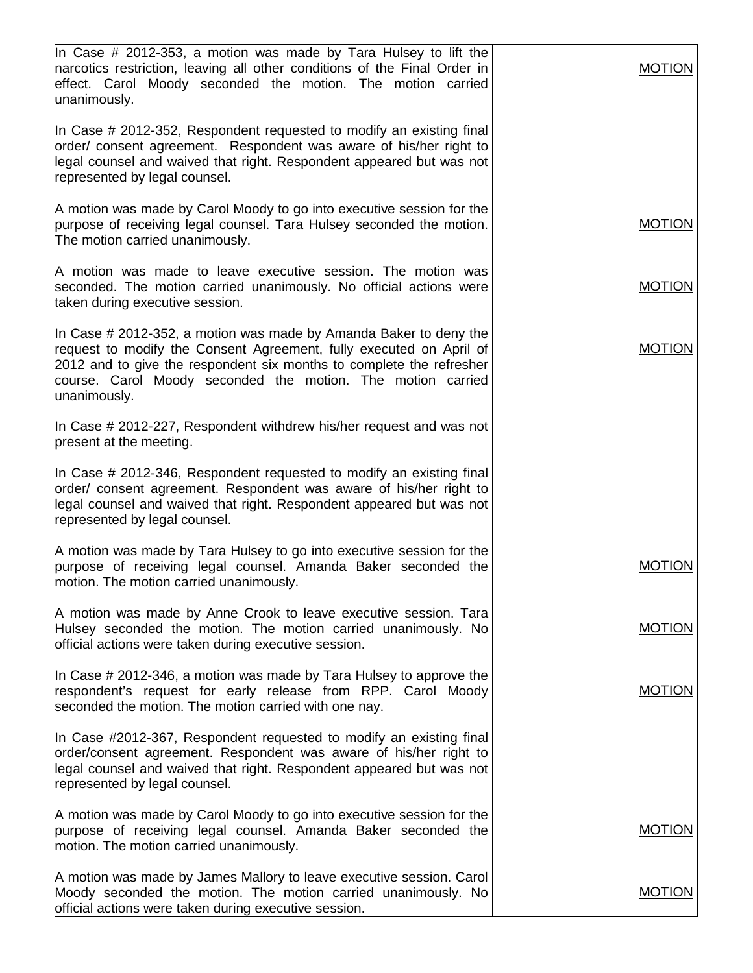| In Case # 2012-353, a motion was made by Tara Hulsey to lift the<br>harcotics restriction, leaving all other conditions of the Final Order in<br>effect. Carol Moody seconded the motion. The motion carried<br>unanimously.                                                                    | <b>MOTION</b> |
|-------------------------------------------------------------------------------------------------------------------------------------------------------------------------------------------------------------------------------------------------------------------------------------------------|---------------|
| In Case # 2012-352, Respondent requested to modify an existing final<br>order/ consent agreement. Respondent was aware of his/her right to<br>legal counsel and waived that right. Respondent appeared but was not<br>represented by legal counsel.                                             |               |
| A motion was made by Carol Moody to go into executive session for the<br>purpose of receiving legal counsel. Tara Hulsey seconded the motion.<br>The motion carried unanimously.                                                                                                                | <b>MOTION</b> |
| A motion was made to leave executive session. The motion was<br>seconded. The motion carried unanimously. No official actions were<br>taken during executive session.                                                                                                                           | <b>MOTION</b> |
| In Case # 2012-352, a motion was made by Amanda Baker to deny the<br>request to modify the Consent Agreement, fully executed on April of<br>2012 and to give the respondent six months to complete the refresher<br>course. Carol Moody seconded the motion. The motion carried<br>unanimously. | <b>MOTION</b> |
| In Case # 2012-227, Respondent withdrew his/her request and was not<br>present at the meeting.                                                                                                                                                                                                  |               |
| In Case # 2012-346, Respondent requested to modify an existing final<br>order/ consent agreement. Respondent was aware of his/her right to<br>legal counsel and waived that right. Respondent appeared but was not<br>represented by legal counsel.                                             |               |
| A motion was made by Tara Hulsey to go into executive session for the<br>purpose of receiving legal counsel. Amanda Baker seconded the<br>motion. The motion carried unanimously.                                                                                                               | <b>MOTION</b> |
| A motion was made by Anne Crook to leave executive session. Tara<br>Hulsey seconded the motion. The motion carried unanimously. No<br>official actions were taken during executive session.                                                                                                     | MUTION        |
| In Case # 2012-346, a motion was made by Tara Hulsey to approve the<br>respondent's request for early release from RPP. Carol Moody<br>seconded the motion. The motion carried with one nay.                                                                                                    | <b>MOTION</b> |
| In Case #2012-367, Respondent requested to modify an existing final<br>prder/consent agreement. Respondent was aware of his/her right to<br>legal counsel and waived that right. Respondent appeared but was not<br>represented by legal counsel.                                               |               |
| A motion was made by Carol Moody to go into executive session for the<br>purpose of receiving legal counsel. Amanda Baker seconded the<br>motion. The motion carried unanimously.                                                                                                               | <b>MOTION</b> |
| A motion was made by James Mallory to leave executive session. Carol<br>Moody seconded the motion. The motion carried unanimously. No<br>official actions were taken during executive session.                                                                                                  | <b>MOTION</b> |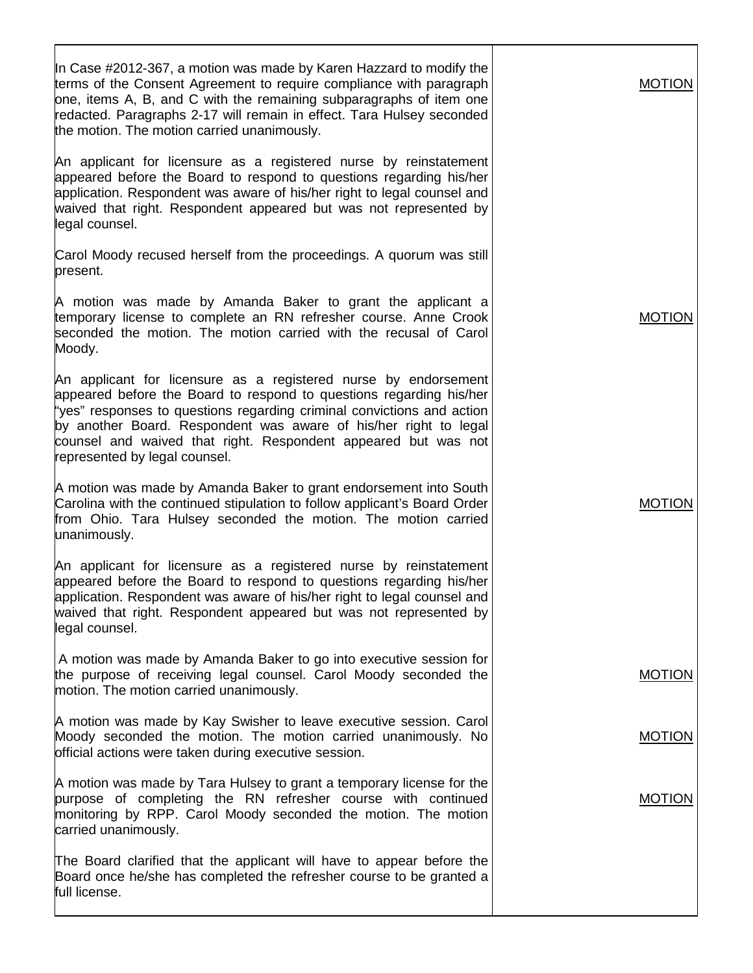| In Case #2012-367, a motion was made by Karen Hazzard to modify the<br>terms of the Consent Agreement to require compliance with paragraph<br>one, items A, B, and C with the remaining subparagraphs of item one<br>redacted. Paragraphs 2-17 will remain in effect. Tara Hulsey seconded<br>the motion. The motion carried unanimously.                                               | <b>MOTION</b> |
|-----------------------------------------------------------------------------------------------------------------------------------------------------------------------------------------------------------------------------------------------------------------------------------------------------------------------------------------------------------------------------------------|---------------|
| An applicant for licensure as a registered nurse by reinstatement<br>appeared before the Board to respond to questions regarding his/her<br>application. Respondent was aware of his/her right to legal counsel and<br>waived that right. Respondent appeared but was not represented by<br>legal counsel.                                                                              |               |
| Carol Moody recused herself from the proceedings. A quorum was still<br>present.                                                                                                                                                                                                                                                                                                        |               |
| A motion was made by Amanda Baker to grant the applicant a<br>temporary license to complete an RN refresher course. Anne Crook<br>seconded the motion. The motion carried with the recusal of Carol<br>Moody.                                                                                                                                                                           | <b>MOTION</b> |
| An applicant for licensure as a registered nurse by endorsement<br>appeared before the Board to respond to questions regarding his/her<br>"yes" responses to questions regarding criminal convictions and action<br>by another Board. Respondent was aware of his/her right to legal<br>counsel and waived that right. Respondent appeared but was not<br>represented by legal counsel. |               |
| A motion was made by Amanda Baker to grant endorsement into South<br>Carolina with the continued stipulation to follow applicant's Board Order<br>from Ohio. Tara Hulsey seconded the motion. The motion carried<br>unanimously.                                                                                                                                                        | <b>MOTION</b> |
| An applicant for licensure as a registered nurse by reinstatement<br>appeared before the Board to respond to questions regarding his/her<br>application. Respondent was aware of his/her right to legal counsel and<br>waived that right. Respondent appeared but was not represented by<br>legal counsel.                                                                              |               |
| A motion was made by Amanda Baker to go into executive session for<br>the purpose of receiving legal counsel. Carol Moody seconded the<br>motion. The motion carried unanimously.                                                                                                                                                                                                       | <b>MOTION</b> |
| A motion was made by Kay Swisher to leave executive session. Carol<br>Moody seconded the motion. The motion carried unanimously. No<br>official actions were taken during executive session.                                                                                                                                                                                            | <b>MOTION</b> |
| A motion was made by Tara Hulsey to grant a temporary license for the<br>purpose of completing the RN refresher course with continued<br>monitoring by RPP. Carol Moody seconded the motion. The motion<br>carried unanimously.                                                                                                                                                         | <b>MOTION</b> |
| The Board clarified that the applicant will have to appear before the<br>Board once he/she has completed the refresher course to be granted a<br>full license.                                                                                                                                                                                                                          |               |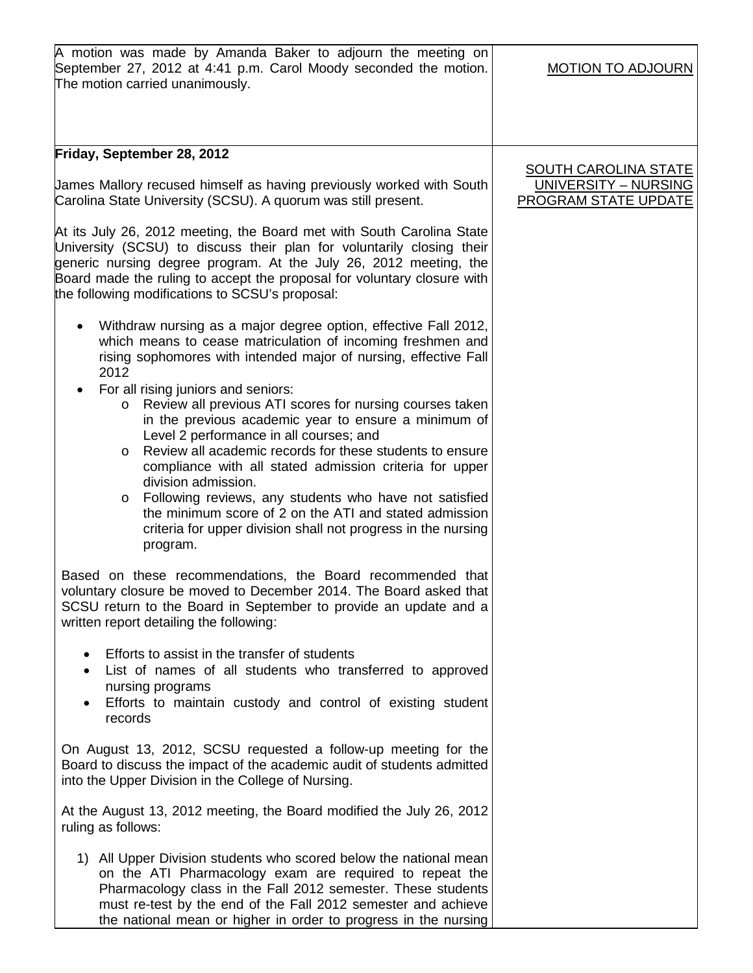| A motion was made by Amanda Baker to adjourn the meeting on<br>September 27, 2012 at 4:41 p.m. Carol Moody seconded the motion.<br>The motion carried unanimously.                                                                                                                                                                                                                                                                                                                                                                                                                                                                                                                                                                                                                                                                                                                                                                                                                                                                                                                                                                                                                                                                              | <b>MOTION TO ADJOURN</b>                                                    |
|-------------------------------------------------------------------------------------------------------------------------------------------------------------------------------------------------------------------------------------------------------------------------------------------------------------------------------------------------------------------------------------------------------------------------------------------------------------------------------------------------------------------------------------------------------------------------------------------------------------------------------------------------------------------------------------------------------------------------------------------------------------------------------------------------------------------------------------------------------------------------------------------------------------------------------------------------------------------------------------------------------------------------------------------------------------------------------------------------------------------------------------------------------------------------------------------------------------------------------------------------|-----------------------------------------------------------------------------|
| Friday, September 28, 2012<br>James Mallory recused himself as having previously worked with South<br>Carolina State University (SCSU). A quorum was still present.<br>At its July 26, 2012 meeting, the Board met with South Carolina State<br>University (SCSU) to discuss their plan for voluntarily closing their<br>generic nursing degree program. At the July 26, 2012 meeting, the<br>Board made the ruling to accept the proposal for voluntary closure with<br>the following modifications to SCSU's proposal:<br>Withdraw nursing as a major degree option, effective Fall 2012,<br>which means to cease matriculation of incoming freshmen and<br>rising sophomores with intended major of nursing, effective Fall<br>2012<br>For all rising juniors and seniors:<br>Review all previous ATI scores for nursing courses taken<br>$\circ$<br>in the previous academic year to ensure a minimum of<br>Level 2 performance in all courses; and<br>Review all academic records for these students to ensure<br>$\circ$<br>compliance with all stated admission criteria for upper<br>division admission.<br>Following reviews, any students who have not satisfied<br>$\circ$<br>the minimum score of 2 on the ATI and stated admission | <b>SOUTH CAROLINA STATE</b><br>UNIVERSITY - NURSING<br>PROGRAM STATE UPDATE |
| criteria for upper division shall not progress in the nursing<br>program.<br>Based on these recommendations, the Board recommended that<br>voluntary closure be moved to December 2014. The Board asked that<br>SCSU return to the Board in September to provide an update and a<br>written report detailing the following:<br>Efforts to assist in the transfer of students<br>$\bullet$<br>List of names of all students who transferred to approved<br>$\bullet$<br>nursing programs<br>Efforts to maintain custody and control of existing student<br>records                                                                                                                                                                                                                                                                                                                                                                                                                                                                                                                                                                                                                                                                               |                                                                             |
| On August 13, 2012, SCSU requested a follow-up meeting for the<br>Board to discuss the impact of the academic audit of students admitted<br>into the Upper Division in the College of Nursing.<br>At the August 13, 2012 meeting, the Board modified the July 26, 2012<br>ruling as follows:                                                                                                                                                                                                                                                                                                                                                                                                                                                                                                                                                                                                                                                                                                                                                                                                                                                                                                                                                    |                                                                             |
| 1) All Upper Division students who scored below the national mean<br>on the ATI Pharmacology exam are required to repeat the<br>Pharmacology class in the Fall 2012 semester. These students<br>must re-test by the end of the Fall 2012 semester and achieve<br>the national mean or higher in order to progress in the nursing                                                                                                                                                                                                                                                                                                                                                                                                                                                                                                                                                                                                                                                                                                                                                                                                                                                                                                                |                                                                             |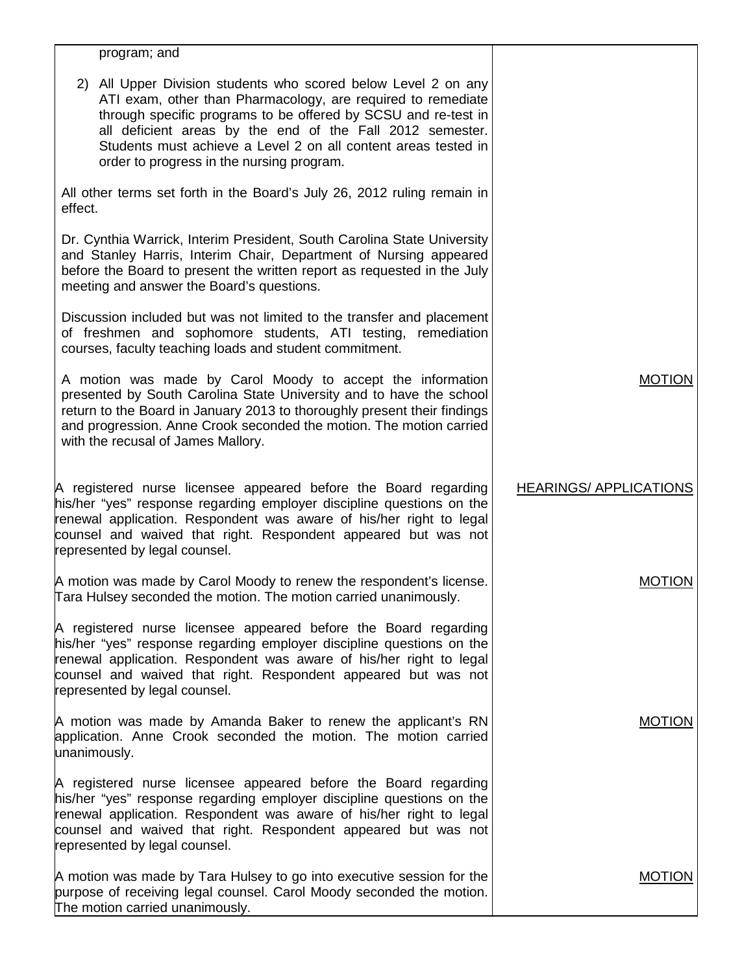| program; and                                                                                                                                                                                                                                                                                                                                                                 |                               |
|------------------------------------------------------------------------------------------------------------------------------------------------------------------------------------------------------------------------------------------------------------------------------------------------------------------------------------------------------------------------------|-------------------------------|
| 2) All Upper Division students who scored below Level 2 on any<br>ATI exam, other than Pharmacology, are required to remediate<br>through specific programs to be offered by SCSU and re-test in<br>all deficient areas by the end of the Fall 2012 semester.<br>Students must achieve a Level 2 on all content areas tested in<br>order to progress in the nursing program. |                               |
| All other terms set forth in the Board's July 26, 2012 ruling remain in<br>effect.                                                                                                                                                                                                                                                                                           |                               |
| Dr. Cynthia Warrick, Interim President, South Carolina State University<br>and Stanley Harris, Interim Chair, Department of Nursing appeared<br>before the Board to present the written report as requested in the July<br>meeting and answer the Board's questions.                                                                                                         |                               |
| Discussion included but was not limited to the transfer and placement<br>of freshmen and sophomore students, ATI testing, remediation<br>courses, faculty teaching loads and student commitment.                                                                                                                                                                             |                               |
| A motion was made by Carol Moody to accept the information<br>presented by South Carolina State University and to have the school<br>return to the Board in January 2013 to thoroughly present their findings<br>and progression. Anne Crook seconded the motion. The motion carried<br>with the recusal of James Mallory.                                                   | <b>MOTION</b>                 |
| A registered nurse licensee appeared before the Board regarding<br>his/her "yes" response regarding employer discipline questions on the<br>renewal application. Respondent was aware of his/her right to legal<br>counsel and waived that right. Respondent appeared but was not<br>represented by legal counsel.                                                           | <b>HEARINGS/ APPLICATIONS</b> |
| A motion was made by Carol Moody to renew the respondent's license.<br>Tara Hulsey seconded the motion. The motion carried unanimously.                                                                                                                                                                                                                                      | <b>MOTION</b>                 |
| A registered nurse licensee appeared before the Board regarding<br>his/her "yes" response regarding employer discipline questions on the<br>renewal application. Respondent was aware of his/her right to legal<br>counsel and waived that right. Respondent appeared but was not<br>represented by legal counsel.                                                           |                               |
| A motion was made by Amanda Baker to renew the applicant's RN<br>application. Anne Crook seconded the motion. The motion carried<br>unanimously.                                                                                                                                                                                                                             | <b>MOTION</b>                 |
| A registered nurse licensee appeared before the Board regarding<br>his/her "yes" response regarding employer discipline questions on the<br>renewal application. Respondent was aware of his/her right to legal<br>counsel and waived that right. Respondent appeared but was not<br>represented by legal counsel.                                                           |                               |
| A motion was made by Tara Hulsey to go into executive session for the<br>purpose of receiving legal counsel. Carol Moody seconded the motion.<br>The motion carried unanimously.                                                                                                                                                                                             | <b>MOTION</b>                 |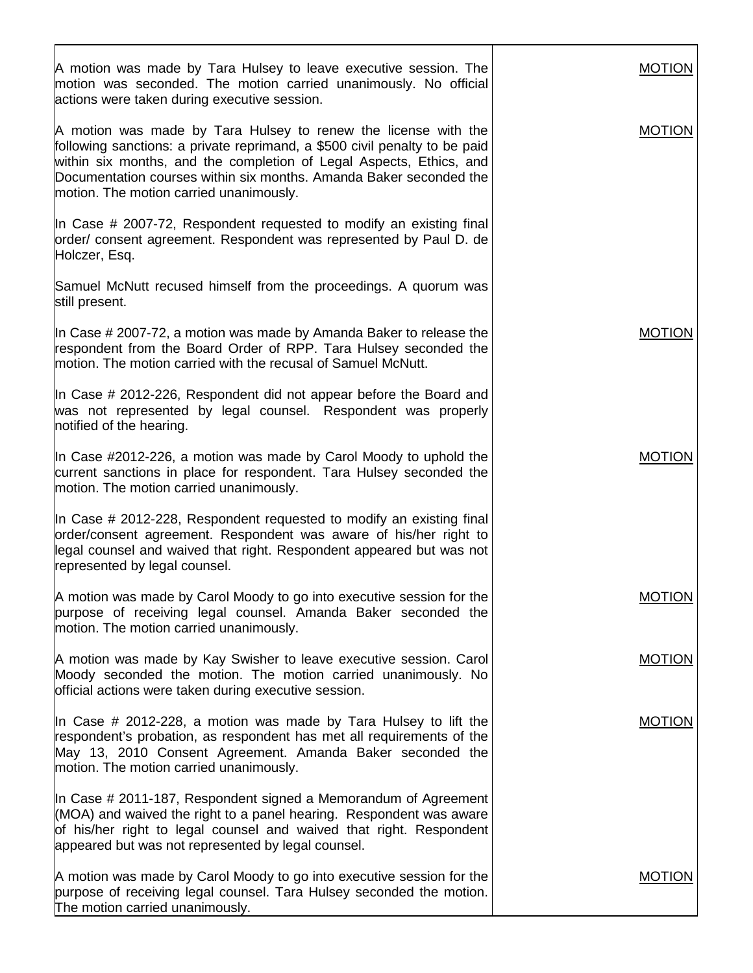| A motion was made by Tara Hulsey to leave executive session. The<br>motion was seconded. The motion carried unanimously. No official<br>actions were taken during executive session.                                                                                                                                                 | <b>MOTION</b> |
|--------------------------------------------------------------------------------------------------------------------------------------------------------------------------------------------------------------------------------------------------------------------------------------------------------------------------------------|---------------|
| A motion was made by Tara Hulsey to renew the license with the<br>following sanctions: a private reprimand, a \$500 civil penalty to be paid<br>within six months, and the completion of Legal Aspects, Ethics, and<br>Documentation courses within six months. Amanda Baker seconded the<br>motion. The motion carried unanimously. | <b>MOTION</b> |
| In Case # 2007-72, Respondent requested to modify an existing final<br>order/ consent agreement. Respondent was represented by Paul D. de<br>Holczer, Esq.                                                                                                                                                                           |               |
| Samuel McNutt recused himself from the proceedings. A quorum was<br>still present.                                                                                                                                                                                                                                                   |               |
| In Case # 2007-72, a motion was made by Amanda Baker to release the<br>respondent from the Board Order of RPP. Tara Hulsey seconded the<br>motion. The motion carried with the recusal of Samuel McNutt.                                                                                                                             | <b>MOTION</b> |
| In Case $\#$ 2012-226, Respondent did not appear before the Board and<br>was not represented by legal counsel. Respondent was properly<br>notified of the hearing.                                                                                                                                                                   |               |
| In Case #2012-226, a motion was made by Carol Moody to uphold the<br>current sanctions in place for respondent. Tara Hulsey seconded the<br>motion. The motion carried unanimously.                                                                                                                                                  | <b>MOTION</b> |
| In Case # 2012-228, Respondent requested to modify an existing final<br>prder/consent agreement. Respondent was aware of his/her right to<br>legal counsel and waived that right. Respondent appeared but was not<br>represented by legal counsel.                                                                                   |               |
| A motion was made by Carol Moody to go into executive session for the<br>purpose of receiving legal counsel. Amanda Baker seconded the<br>motion. The motion carried unanimously.                                                                                                                                                    | <b>MOTION</b> |
| A motion was made by Kay Swisher to leave executive session. Carol<br>Moody seconded the motion. The motion carried unanimously. No<br>official actions were taken during executive session.                                                                                                                                         | <b>MOTION</b> |
| In Case # 2012-228, a motion was made by Tara Hulsey to lift the<br>respondent's probation, as respondent has met all requirements of the<br>May 13, 2010 Consent Agreement. Amanda Baker seconded the<br>motion. The motion carried unanimously.                                                                                    | <b>MOTION</b> |
| In Case # 2011-187, Respondent signed a Memorandum of Agreement<br>(MOA) and waived the right to a panel hearing. Respondent was aware<br>of his/her right to legal counsel and waived that right. Respondent<br>appeared but was not represented by legal counsel.                                                                  |               |
| A motion was made by Carol Moody to go into executive session for the<br>purpose of receiving legal counsel. Tara Hulsey seconded the motion.<br>The motion carried unanimously.                                                                                                                                                     | <b>MOTION</b> |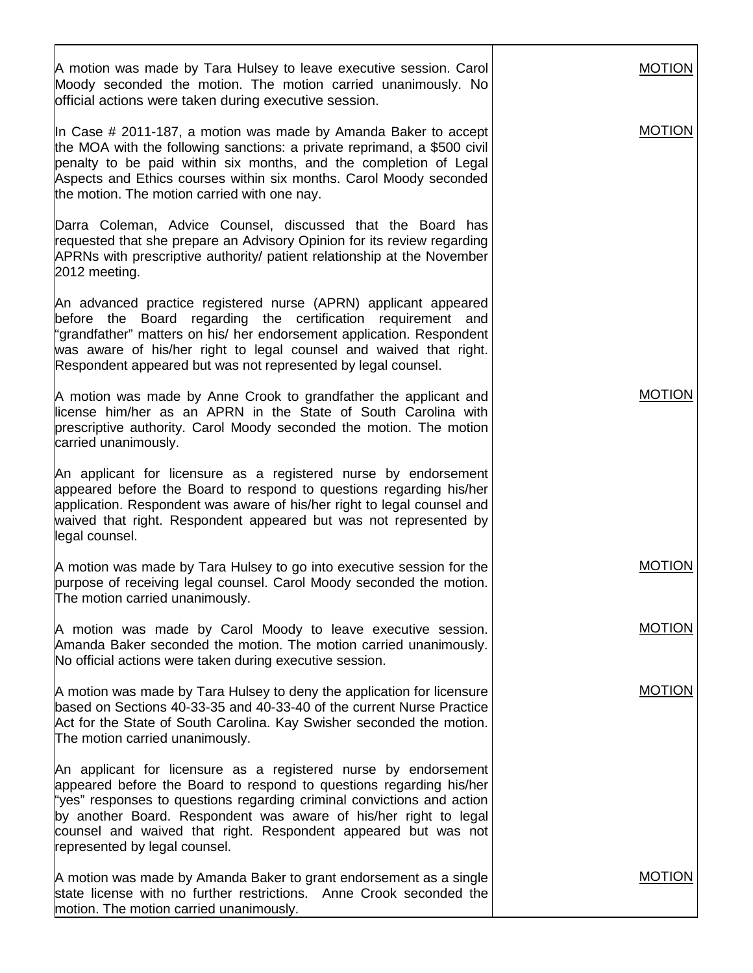| A motion was made by Tara Hulsey to leave executive session. Carol<br>Moody seconded the motion. The motion carried unanimously. No<br>official actions were taken during executive session.                                                                                                                                                                                            | <b>MOTION</b> |
|-----------------------------------------------------------------------------------------------------------------------------------------------------------------------------------------------------------------------------------------------------------------------------------------------------------------------------------------------------------------------------------------|---------------|
| In Case # 2011-187, a motion was made by Amanda Baker to accept<br>the MOA with the following sanctions: a private reprimand, a \$500 civil<br>penalty to be paid within six months, and the completion of Legal<br>Aspects and Ethics courses within six months. Carol Moody seconded<br>the motion. The motion carried with one nay.                                                  | <b>MOTION</b> |
| Darra Coleman, Advice Counsel, discussed that the Board has<br>requested that she prepare an Advisory Opinion for its review regarding<br>APRNs with prescriptive authority/ patient relationship at the November<br>2012 meeting.                                                                                                                                                      |               |
| An advanced practice registered nurse (APRN) applicant appeared<br>before the Board regarding the certification requirement and<br>"grandfather" matters on his/ her endorsement application. Respondent<br>was aware of his/her right to legal counsel and waived that right.<br>Respondent appeared but was not represented by legal counsel.                                         |               |
| A motion was made by Anne Crook to grandfather the applicant and<br>license him/her as an APRN in the State of South Carolina with<br>prescriptive authority. Carol Moody seconded the motion. The motion<br>carried unanimously.                                                                                                                                                       | <b>MOTION</b> |
| An applicant for licensure as a registered nurse by endorsement<br>appeared before the Board to respond to questions regarding his/her<br>application. Respondent was aware of his/her right to legal counsel and<br>waived that right. Respondent appeared but was not represented by<br>legal counsel.                                                                                |               |
| A motion was made by Tara Hulsey to go into executive session for the<br>purpose of receiving legal counsel. Carol Moody seconded the motion.<br>The motion carried unanimously.                                                                                                                                                                                                        | <b>MOTION</b> |
| A motion was made by Carol Moody to leave executive session.<br>Amanda Baker seconded the motion. The motion carried unanimously.<br>No official actions were taken during executive session.                                                                                                                                                                                           | <b>MOTION</b> |
| A motion was made by Tara Hulsey to deny the application for licensure<br>based on Sections 40-33-35 and 40-33-40 of the current Nurse Practice<br>Act for the State of South Carolina. Kay Swisher seconded the motion.<br>The motion carried unanimously.                                                                                                                             | <b>MOTION</b> |
| An applicant for licensure as a registered nurse by endorsement<br>appeared before the Board to respond to questions regarding his/her<br>"yes" responses to questions regarding criminal convictions and action<br>by another Board. Respondent was aware of his/her right to legal<br>counsel and waived that right. Respondent appeared but was not<br>represented by legal counsel. |               |
| A motion was made by Amanda Baker to grant endorsement as a single<br>state license with no further restrictions. Anne Crook seconded the<br>motion. The motion carried unanimously.                                                                                                                                                                                                    | <b>MOTION</b> |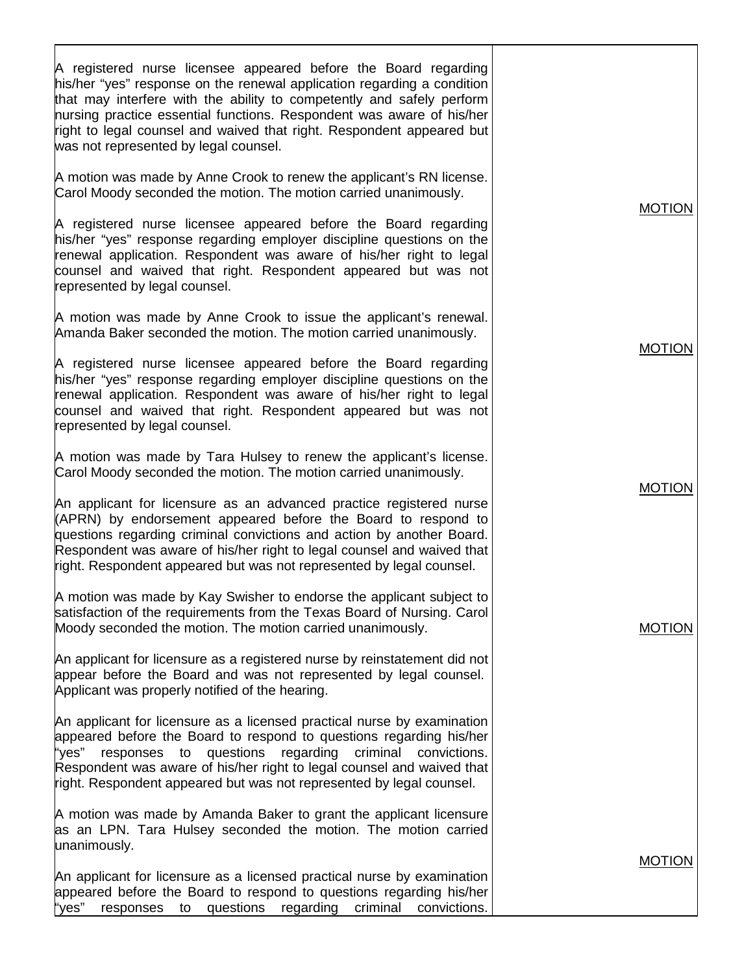| A registered nurse licensee appeared before the Board regarding<br>his/her "yes" response on the renewal application regarding a condition<br>that may interfere with the ability to competently and safely perform<br>hursing practice essential functions. Respondent was aware of his/her<br>right to legal counsel and waived that right. Respondent appeared but<br>was not represented by legal counsel. |               |
|----------------------------------------------------------------------------------------------------------------------------------------------------------------------------------------------------------------------------------------------------------------------------------------------------------------------------------------------------------------------------------------------------------------|---------------|
| A motion was made by Anne Crook to renew the applicant's RN license.<br>Carol Moody seconded the motion. The motion carried unanimously.                                                                                                                                                                                                                                                                       |               |
| A registered nurse licensee appeared before the Board regarding<br>his/her "yes" response regarding employer discipline questions on the<br>renewal application. Respondent was aware of his/her right to legal<br>counsel and waived that right. Respondent appeared but was not<br>represented by legal counsel.                                                                                             | <b>MOTION</b> |
| A motion was made by Anne Crook to issue the applicant's renewal.<br>Amanda Baker seconded the motion. The motion carried unanimously.                                                                                                                                                                                                                                                                         |               |
| A registered nurse licensee appeared before the Board regarding<br>his/her "yes" response regarding employer discipline questions on the<br>renewal application. Respondent was aware of his/her right to legal<br>counsel and waived that right. Respondent appeared but was not<br>represented by legal counsel.                                                                                             | <b>MOTION</b> |
| A motion was made by Tara Hulsey to renew the applicant's license.<br>Carol Moody seconded the motion. The motion carried unanimously.                                                                                                                                                                                                                                                                         | <b>MOTION</b> |
| An applicant for licensure as an advanced practice registered nurse<br>(APRN) by endorsement appeared before the Board to respond to<br>questions regarding criminal convictions and action by another Board.<br>Respondent was aware of his/her right to legal counsel and waived that<br>right. Respondent appeared but was not represented by legal counsel.                                                |               |
| A motion was made by Kay Swisher to endorse the applicant subject to<br>satisfaction of the requirements from the Texas Board of Nursing. Carol<br>Moody seconded the motion. The motion carried unanimously.                                                                                                                                                                                                  | <b>MOTION</b> |
| An applicant for licensure as a registered nurse by reinstatement did not<br>appear before the Board and was not represented by legal counsel.<br>Applicant was properly notified of the hearing.                                                                                                                                                                                                              |               |
| An applicant for licensure as a licensed practical nurse by examination<br>appeared before the Board to respond to questions regarding his/her<br>"yes"<br>responses to questions regarding<br>criminal<br>convictions.<br>Respondent was aware of his/her right to legal counsel and waived that<br>right. Respondent appeared but was not represented by legal counsel.                                      |               |
| A motion was made by Amanda Baker to grant the applicant licensure<br>as an LPN. Tara Hulsey seconded the motion. The motion carried<br>unanimously.                                                                                                                                                                                                                                                           |               |
| An applicant for licensure as a licensed practical nurse by examination<br>appeared before the Board to respond to questions regarding his/her<br>"yes"<br>questions<br>regarding<br>criminal<br>convictions.<br>responses<br>to                                                                                                                                                                               | <b>MOTION</b> |